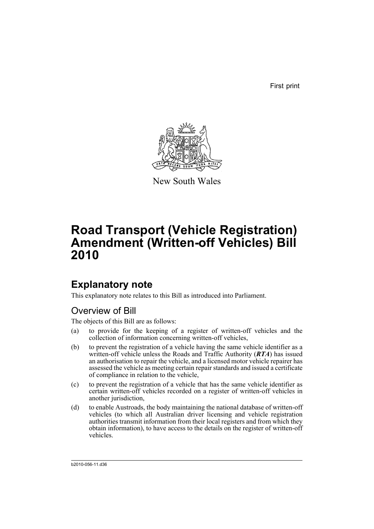First print



New South Wales

# **Road Transport (Vehicle Registration) Amendment (Written-off Vehicles) Bill 2010**

# **Explanatory note**

This explanatory note relates to this Bill as introduced into Parliament.

# Overview of Bill

The objects of this Bill are as follows:

- (a) to provide for the keeping of a register of written-off vehicles and the collection of information concerning written-off vehicles,
- (b) to prevent the registration of a vehicle having the same vehicle identifier as a written-off vehicle unless the Roads and Traffic Authority (*RTA*) has issued an authorisation to repair the vehicle, and a licensed motor vehicle repairer has assessed the vehicle as meeting certain repair standards and issued a certificate of compliance in relation to the vehicle,
- (c) to prevent the registration of a vehicle that has the same vehicle identifier as certain written-off vehicles recorded on a register of written-off vehicles in another jurisdiction,
- (d) to enable Austroads, the body maintaining the national database of written-off vehicles (to which all Australian driver licensing and vehicle registration authorities transmit information from their local registers and from which they obtain information), to have access to the details on the register of written-off vehicles.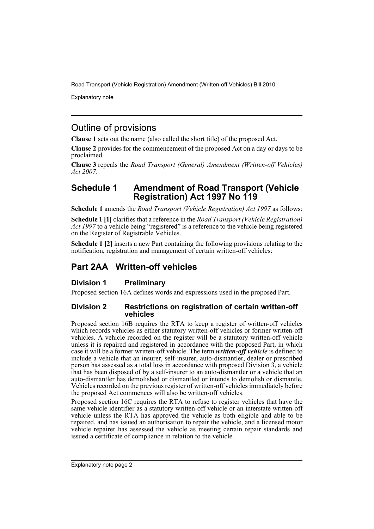Explanatory note

# Outline of provisions

**Clause 1** sets out the name (also called the short title) of the proposed Act.

**Clause 2** provides for the commencement of the proposed Act on a day or days to be proclaimed.

**Clause 3** repeals the *Road Transport (General) Amendment (Written-off Vehicles) Act 2007*.

## **Schedule 1 Amendment of Road Transport (Vehicle Registration) Act 1997 No 119**

**Schedule 1** amends the *Road Transport (Vehicle Registration) Act 1997* as follows:

**Schedule 1 [1]** clarifies that a reference in the *Road Transport (Vehicle Registration) Act 1997* to a vehicle being "registered" is a reference to the vehicle being registered on the Register of Registrable Vehicles.

**Schedule 1 [2]** inserts a new Part containing the following provisions relating to the notification, registration and management of certain written-off vehicles:

# **Part 2AA Written-off vehicles**

## **Division 1 Preliminary**

Proposed section 16A defines words and expressions used in the proposed Part.

### **Division 2 Restrictions on registration of certain written-off vehicles**

Proposed section 16B requires the RTA to keep a register of written-off vehicles which records vehicles as either statutory written-off vehicles or former written-off vehicles. A vehicle recorded on the register will be a statutory written-off vehicle unless it is repaired and registered in accordance with the proposed Part, in which case it will be a former written-off vehicle. The term *written-off vehicle* is defined to include a vehicle that an insurer, self-insurer, auto-dismantler, dealer or prescribed person has assessed as a total loss in accordance with proposed Division 3, a vehicle that has been disposed of by a self-insurer to an auto-dismantler or a vehicle that an auto-dismantler has demolished or dismantled or intends to demolish or dismantle. Vehicles recorded on the previous register of written-off vehicles immediately before the proposed Act commences will also be written-off vehicles.

Proposed section 16C requires the RTA to refuse to register vehicles that have the same vehicle identifier as a statutory written-off vehicle or an interstate written-off vehicle unless the RTA has approved the vehicle as both eligible and able to be repaired, and has issued an authorisation to repair the vehicle, and a licensed motor vehicle repairer has assessed the vehicle as meeting certain repair standards and issued a certificate of compliance in relation to the vehicle.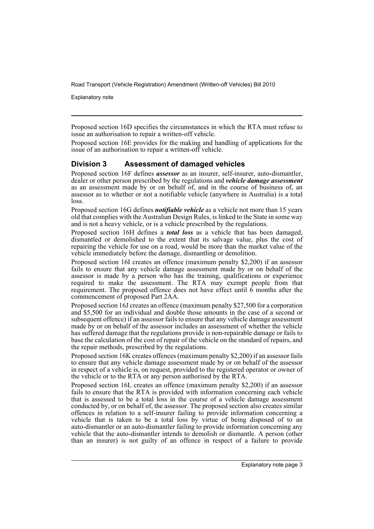Explanatory note

Proposed section 16D specifies the circumstances in which the RTA must refuse to issue an authorisation to repair a written-off vehicle.

Proposed section 16E provides for the making and handling of applications for the issue of an authorisation to repair a written-off vehicle.

### **Division 3 Assessment of damaged vehicles**

Proposed section 16F defines *assessor* as an insurer, self-insurer, auto-dismantler, dealer or other person prescribed by the regulations and *vehicle damage assessment* as an assessment made by or on behalf of, and in the course of business of, an assessor as to whether or not a notifiable vehicle (anywhere in Australia) is a total loss.

Proposed section 16G defines *notifiable vehicle* as a vehicle not more than 15 years old that complies with the Australian Design Rules, is linked to the State in some way and is not a heavy vehicle, or is a vehicle prescribed by the regulations.

Proposed section 16H defines a *total loss* as a vehicle that has been damaged, dismantled or demolished to the extent that its salvage value, plus the cost of repairing the vehicle for use on a road, would be more than the market value of the vehicle immediately before the damage, dismantling or demolition.

Proposed section 16I creates an offence (maximum penalty \$2,200) if an assessor fails to ensure that any vehicle damage assessment made by or on behalf of the assessor is made by a person who has the training, qualifications or experience required to make the assessment. The RTA may exempt people from that requirement. The proposed offence does not have effect until  $\vec{6}$  months after the commencement of proposed Part 2AA.

Proposed section 16J creates an offence (maximum penalty \$27,500 for a corporation and \$5,500 for an individual and double those amounts in the case of a second or subsequent offence) if an assessor fails to ensure that any vehicle damage assessment made by or on behalf of the assessor includes an assessment of whether the vehicle has suffered damage that the regulations provide is non-repairable damage or fails to base the calculation of the cost of repair of the vehicle on the standard of repairs, and the repair methods, prescribed by the regulations.

Proposed section 16K creates offences (maximum penalty \$2,200) if an assessor fails to ensure that any vehicle damage assessment made by or on behalf of the assessor in respect of a vehicle is, on request, provided to the registered operator or owner of the vehicle or to the RTA or any person authorised by the RTA.

Proposed section 16L creates an offence (maximum penalty \$2,200) if an assessor fails to ensure that the RTA is provided with information concerning each vehicle that is assessed to be a total loss in the course of a vehicle damage assessment conducted by, or on behalf of, the assessor. The proposed section also creates similar offences in relation to a self-insurer failing to provide information concerning a vehicle that is taken to be a total loss by virtue of being disposed of to an auto-dismantler or an auto-dismantler failing to provide information concerning any vehicle that the auto-dismantler intends to demolish or dismantle. A person (other than an insurer) is not guilty of an offence in respect of a failure to provide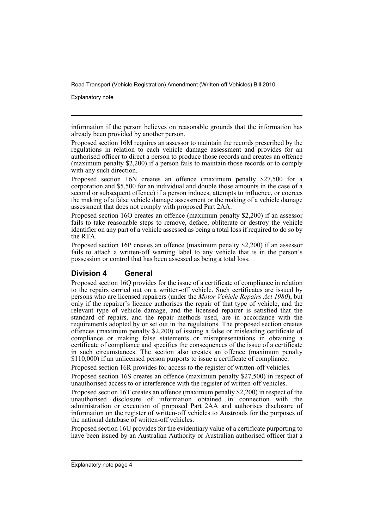Explanatory note

information if the person believes on reasonable grounds that the information has already been provided by another person.

Proposed section 16M requires an assessor to maintain the records prescribed by the regulations in relation to each vehicle damage assessment and provides for an authorised officer to direct a person to produce those records and creates an offence (maximum penalty \$2,200) if a person fails to maintain those records or to comply with any such direction.

Proposed section 16N creates an offence (maximum penalty \$27,500 for a corporation and \$5,500 for an individual and double those amounts in the case of a second or subsequent offence) if a person induces, attempts to influence, or coerces the making of a false vehicle damage assessment or the making of a vehicle damage assessment that does not comply with proposed Part 2AA.

Proposed section 16O creates an offence (maximum penalty \$2,200) if an assessor fails to take reasonable steps to remove, deface, obliterate or destroy the vehicle identifier on any part of a vehicle assessed as being a total loss if required to do so by the RTA.

Proposed section 16P creates an offence (maximum penalty \$2,200) if an assessor fails to attach a written-off warning label to any vehicle that is in the person's possession or control that has been assessed as being a total loss.

## **Division 4 General**

Proposed section 16Q provides for the issue of a certificate of compliance in relation to the repairs carried out on a written-off vehicle. Such certificates are issued by persons who are licensed repairers (under the *Motor Vehicle Repairs Act 1980*), but only if the repairer's licence authorises the repair of that type of vehicle, and the relevant type of vehicle damage, and the licensed repairer is satisfied that the standard of repairs, and the repair methods used, are in accordance with the requirements adopted by or set out in the regulations. The proposed section creates offences (maximum penalty \$2,200) of issuing a false or misleading certificate of compliance or making false statements or misrepresentations in obtaining a certificate of compliance and specifies the consequences of the issue of a certificate in such circumstances. The section also creates an offence (maximum penalty \$110,000) if an unlicensed person purports to issue a certificate of compliance.

Proposed section 16R provides for access to the register of written-off vehicles.

Proposed section 16S creates an offence (maximum penalty \$27,500) in respect of unauthorised access to or interference with the register of written-off vehicles.

Proposed section 16T creates an offence (maximum penalty \$2,200) in respect of the unauthorised disclosure of information obtained in connection with the administration or execution of proposed Part 2AA and authorises disclosure of information on the register of written-off vehicles to Austroads for the purposes of the national database of written-off vehicles.

Proposed section 16U provides for the evidentiary value of a certificate purporting to have been issued by an Australian Authority or Australian authorised officer that a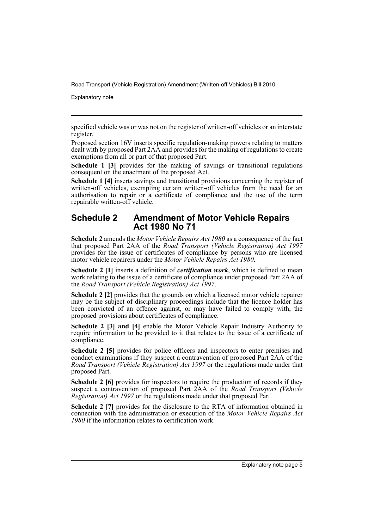Explanatory note

specified vehicle was or was not on the register of written-off vehicles or an interstate register.

Proposed section 16V inserts specific regulation-making powers relating to matters dealt with by proposed Part 2AA and provides for the making of regulations to create exemptions from all or part of that proposed Part.

**Schedule 1 [3]** provides for the making of savings or transitional regulations consequent on the enactment of the proposed Act.

**Schedule 1 [4]** inserts savings and transitional provisions concerning the register of written-off vehicles, exempting certain written-off vehicles from the need for an authorisation to repair or a certificate of compliance and the use of the term repairable written-off vehicle.

## **Schedule 2 Amendment of Motor Vehicle Repairs Act 1980 No 71**

**Schedule 2** amends the *Motor Vehicle Repairs Act 1980* as a consequence of the fact that proposed Part 2AA of the *Road Transport (Vehicle Registration) Act 1997* provides for the issue of certificates of compliance by persons who are licensed motor vehicle repairers under the *Motor Vehicle Repairs Act 1980*.

**Schedule 2 [1]** inserts a definition of *certification work*, which is defined to mean work relating to the issue of a certificate of compliance under proposed Part 2AA of the *Road Transport (Vehicle Registration) Act 1997*.

**Schedule 2 [2]** provides that the grounds on which a licensed motor vehicle repairer may be the subject of disciplinary proceedings include that the licence holder has been convicted of an offence against, or may have failed to comply with, the proposed provisions about certificates of compliance.

**Schedule 2 [3] and [4]** enable the Motor Vehicle Repair Industry Authority to require information to be provided to it that relates to the issue of a certificate of compliance.

**Schedule 2 [5]** provides for police officers and inspectors to enter premises and conduct examinations if they suspect a contravention of proposed Part 2AA of the *Road Transport (Vehicle Registration) Act 1997* or the regulations made under that proposed Part.

**Schedule 2 [6]** provides for inspectors to require the production of records if they suspect a contravention of proposed Part 2AA of the *Road Transport (Vehicle Registration) Act 1997* or the regulations made under that proposed Part.

**Schedule 2 [7]** provides for the disclosure to the RTA of information obtained in connection with the administration or execution of the *Motor Vehicle Repairs Act 1980* if the information relates to certification work.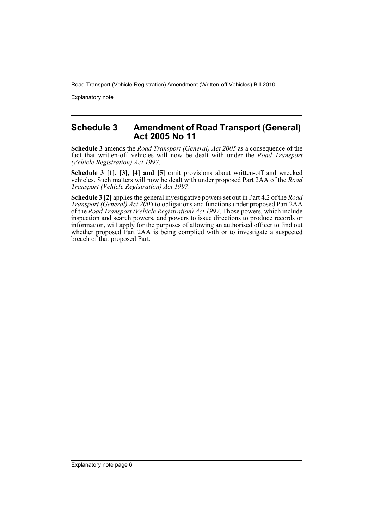Explanatory note

## **Schedule 3 Amendment of Road Transport (General) Act 2005 No 11**

**Schedule 3** amends the *Road Transport (General) Act 2005* as a consequence of the fact that written-off vehicles will now be dealt with under the *Road Transport (Vehicle Registration) Act 1997*.

**Schedule 3 [1], [3], [4] and [5]** omit provisions about written-off and wrecked vehicles. Such matters will now be dealt with under proposed Part 2AA of the *Road Transport (Vehicle Registration) Act 1997*.

**Schedule 3 [2]** applies the general investigative powers set out in Part 4.2 of the *Road Transport (General) Act 2005* to obligations and functions under proposed Part 2AA of the *Road Transport (Vehicle Registration) Act 1997*. Those powers, which include inspection and search powers, and powers to issue directions to produce records or information, will apply for the purposes of allowing an authorised officer to find out whether proposed Part 2AA is being complied with or to investigate a suspected breach of that proposed Part.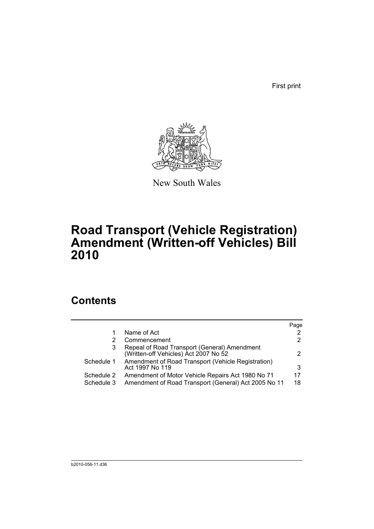First print



New South Wales

# **Road Transport (Vehicle Registration) Amendment (Written-off Vehicles) Bill 2010**

# **Contents**

|            |                                                                                       | Page |
|------------|---------------------------------------------------------------------------------------|------|
|            | Name of Act                                                                           | 2    |
|            | Commencement                                                                          | 2    |
| 3          | Repeal of Road Transport (General) Amendment<br>(Written-off Vehicles) Act 2007 No 52 | 2    |
| Schedule 1 | Amendment of Road Transport (Vehicle Registration)<br>Act 1997 No 119                 | 3    |
| Schedule 2 | Amendment of Motor Vehicle Repairs Act 1980 No 71                                     | 17   |
| Schedule 3 | Amendment of Road Transport (General) Act 2005 No 11                                  | 18   |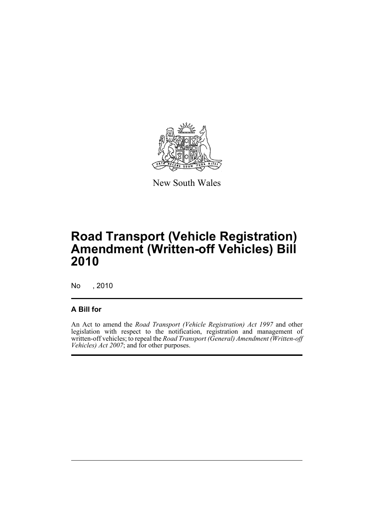

New South Wales

# **Road Transport (Vehicle Registration) Amendment (Written-off Vehicles) Bill 2010**

No , 2010

## **A Bill for**

An Act to amend the *Road Transport (Vehicle Registration) Act 1997* and other legislation with respect to the notification, registration and management of written-off vehicles; to repeal the *Road Transport (General) Amendment (Written-off Vehicles) Act 2007*; and for other purposes.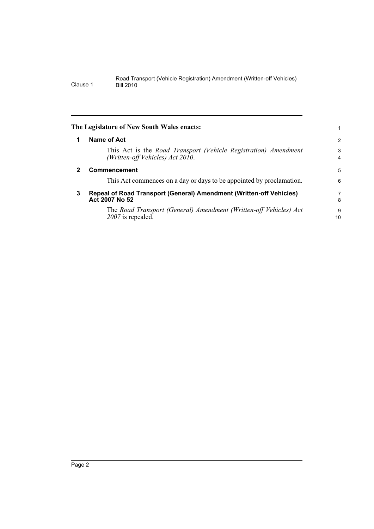<span id="page-9-2"></span><span id="page-9-1"></span><span id="page-9-0"></span>

|   | The Legislature of New South Wales enacts:                                                             | 1                   |
|---|--------------------------------------------------------------------------------------------------------|---------------------|
| 1 | Name of Act                                                                                            | $\overline{2}$      |
|   | This Act is the Road Transport (Vehicle Registration) Amendment<br>(Written-off Vehicles) Act $20I0$ . | 3<br>$\overline{4}$ |
| 2 | Commencement                                                                                           | 5                   |
|   | This Act commences on a day or days to be appointed by proclamation.                                   | 6                   |
| 3 | Repeal of Road Transport (General) Amendment (Written-off Vehicles)<br>Act 2007 No 52                  | 7<br>8              |
|   | The Road Transport (General) Amendment (Written-off Vehicles) Act<br>2007 is repealed.                 | 9<br>10             |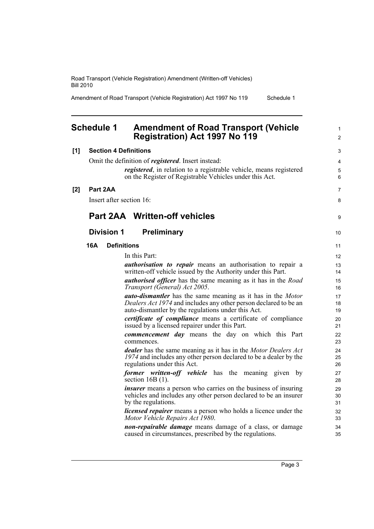Amendment of Road Transport (Vehicle Registration) Act 1997 No 119 Schedule 1

<span id="page-10-0"></span>

|       | <b>Schedule 1</b> | <b>Amendment of Road Transport (Vehicle</b><br><b>Registration) Act 1997 No 119</b>                                    | $\mathbf{1}$<br>$\overline{2}$ |
|-------|-------------------|------------------------------------------------------------------------------------------------------------------------|--------------------------------|
| [1]   |                   | <b>Section 4 Definitions</b>                                                                                           | 3                              |
|       |                   | Omit the definition of <i>registered</i> . Insert instead:                                                             | 4                              |
|       |                   | registered, in relation to a registrable vehicle, means registered                                                     | 5                              |
|       |                   | on the Register of Registrable Vehicles under this Act.                                                                | 6                              |
| $[2]$ | Part 2AA          |                                                                                                                        | $\overline{7}$                 |
|       |                   | Insert after section 16:                                                                                               | 8                              |
|       |                   | <b>Part 2AA Written-off vehicles</b>                                                                                   | 9                              |
|       | <b>Division 1</b> | <b>Preliminary</b>                                                                                                     | 10                             |
|       | 16A               | <b>Definitions</b>                                                                                                     | 11                             |
|       |                   | In this Part:                                                                                                          | 12                             |
|       |                   | <i>authorisation to repair</i> means an authorisation to repair a                                                      | 13                             |
|       |                   | written-off vehicle issued by the Authority under this Part.                                                           | 14                             |
|       |                   | <i>authorised officer</i> has the same meaning as it has in the <i>Road</i><br>Transport (General) Act 2005.           | 15<br>16                       |
|       |                   | auto-dismantler has the same meaning as it has in the Motor                                                            | 17                             |
|       |                   | Dealers Act 1974 and includes any other person declared to be an<br>auto-dismantler by the regulations under this Act. | 18<br>19                       |
|       |                   | <i>certificate of compliance</i> means a certificate of compliance                                                     | 20                             |
|       |                   | issued by a licensed repairer under this Part.                                                                         | 21                             |
|       |                   | <b><i>commencement day</i></b> means the day on which this Part<br>commences.                                          | 22<br>23                       |
|       |                   | <b>dealer</b> has the same meaning as it has in the Motor Dealers Act                                                  | 24                             |
|       |                   | 1974 and includes any other person declared to be a dealer by the<br>regulations under this Act.                       | 25<br>26                       |
|       |                   | former written-off vehicle has the meaning given by<br>section $16B(1)$ .                                              | 27<br>28                       |
|       |                   | <i>insurer</i> means a person who carries on the business of insuring                                                  | 29                             |
|       |                   | vehicles and includes any other person declared to be an insurer<br>by the regulations.                                | 30<br>31                       |
|       |                   | <i>licensed repairer</i> means a person who holds a licence under the<br>Motor Vehicle Repairs Act 1980.               | 32<br>33                       |
|       |                   | <i>non-repairable damage</i> means damage of a class, or damage                                                        | 34                             |

caused in circumstances, prescribed by the regulations.

35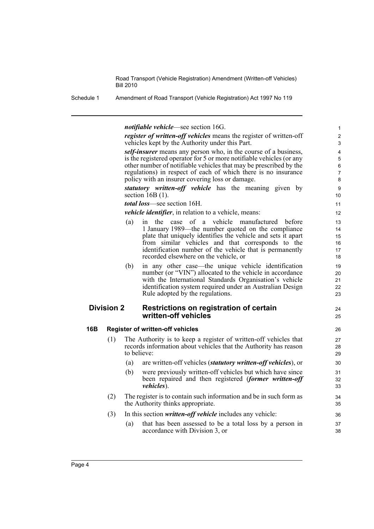Schedule 1 Amendment of Road Transport (Vehicle Registration) Act 1997 No 119

*notifiable vehicle*—see section 16G.

*register of written-off vehicles* means the register of written-off vehicles kept by the Authority under this Part.

24 25

*self-insurer* means any person who, in the course of a business, is the registered operator for 5 or more notifiable vehicles (or any other number of notifiable vehicles that may be prescribed by the regulations) in respect of each of which there is no insurance policy with an insurer covering loss or damage.

*statutory written-off vehicle* has the meaning given by section  $16B(1)$ .

*total loss*—see section 16H.

*vehicle identifier*, in relation to a vehicle, means:

- (a) in the case of a vehicle manufactured before 1 January 1989—the number quoted on the compliance plate that uniquely identifies the vehicle and sets it apart from similar vehicles and that corresponds to the identification number of the vehicle that is permanently recorded elsewhere on the vehicle, or (b) in any other case—the unique vehicle identification number (or "VIN") allocated to the vehicle in accordance with the International Standards Organisation's vehicle identification system required under an Australian Design Rule adopted by the regulations. **Division 2 Restrictions on registration of certain written-off vehicles 16B Register of written-off vehicles** (1) The Authority is to keep a register of written-off vehicles that records information about vehicles that the Authority has reason to believe: (a) are written-off vehicles (*statutory written-off vehicles*), or (b) were previously written-off vehicles but which have since been repaired and then registered (*former written-off vehicles*).
	- (2) The register is to contain such information and be in such form as the Authority thinks appropriate.
	- (3) In this section *written-off vehicle* includes any vehicle:
		- (a) that has been assessed to be a total loss by a person in accordance with Division 3, or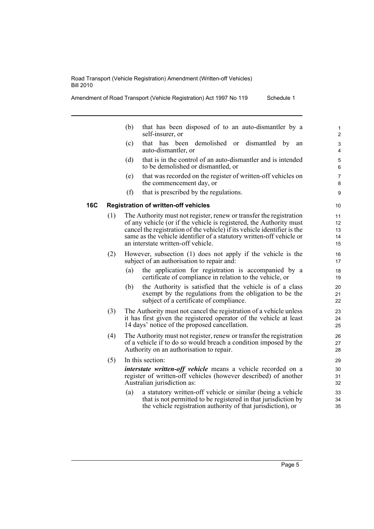|     |     | (b) | that has been disposed of to an auto-dismantler by a<br>self-insurer, or                                                                                                                                                                                                                                                             | $\mathbf{1}$<br>$\overline{c}$ |
|-----|-----|-----|--------------------------------------------------------------------------------------------------------------------------------------------------------------------------------------------------------------------------------------------------------------------------------------------------------------------------------------|--------------------------------|
|     |     | (c) | that has been demolished or<br>dismantled by<br>an<br>auto-dismantler, or                                                                                                                                                                                                                                                            | 3<br>4                         |
|     |     | (d) | that is in the control of an auto-dismantler and is intended<br>to be demolished or dismantled, or                                                                                                                                                                                                                                   | 5<br>6                         |
|     |     | (e) | that was recorded on the register of written-off vehicles on<br>the commencement day, or                                                                                                                                                                                                                                             | $\overline{7}$<br>8            |
|     |     | (f) | that is prescribed by the regulations.                                                                                                                                                                                                                                                                                               | 9                              |
| 16C |     |     | <b>Registration of written-off vehicles</b>                                                                                                                                                                                                                                                                                          | 10                             |
|     | (1) |     | The Authority must not register, renew or transfer the registration<br>of any vehicle (or if the vehicle is registered, the Authority must<br>cancel the registration of the vehicle) if its vehicle identifier is the<br>same as the vehicle identifier of a statutory written-off vehicle or<br>an interstate written-off vehicle. | 11<br>12<br>13<br>14<br>15     |
|     | (2) |     | However, subsection (1) does not apply if the vehicle is the<br>subject of an authorisation to repair and:                                                                                                                                                                                                                           | 16<br>17                       |
|     |     | (a) | the application for registration is accompanied by a<br>certificate of compliance in relation to the vehicle, or                                                                                                                                                                                                                     | 18<br>19                       |
|     |     | (b) | the Authority is satisfied that the vehicle is of a class<br>exempt by the regulations from the obligation to be the<br>subject of a certificate of compliance.                                                                                                                                                                      | 20<br>21<br>22                 |
|     | (3) |     | The Authority must not cancel the registration of a vehicle unless<br>it has first given the registered operator of the vehicle at least<br>14 days' notice of the proposed cancellation.                                                                                                                                            | 23<br>24<br>25                 |
|     | (4) |     | The Authority must not register, renew or transfer the registration<br>of a vehicle if to do so would breach a condition imposed by the<br>Authority on an authorisation to repair.                                                                                                                                                  | 26<br>27<br>28                 |
|     | (5) |     | In this section:                                                                                                                                                                                                                                                                                                                     | 29                             |
|     |     |     | <i>interstate written-off vehicle</i> means a vehicle recorded on a<br>register of written-off vehicles (however described) of another<br>Australian jurisdiction as:                                                                                                                                                                | 30<br>31<br>32                 |
|     |     | (a) | a statutory written-off vehicle or similar (being a vehicle<br>that is not permitted to be registered in that jurisdiction by<br>the vehicle registration authority of that jurisdiction), or                                                                                                                                        | 33<br>34<br>35                 |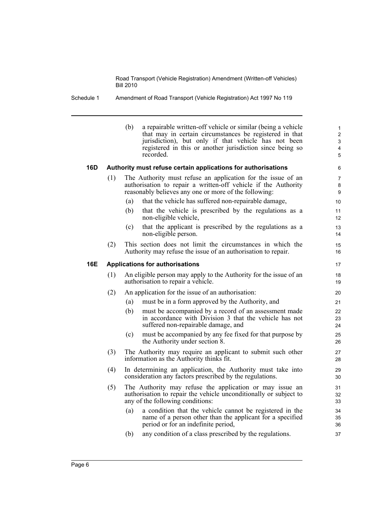Schedule 1 Amendment of Road Transport (Vehicle Registration) Act 1997 No 119

|     |     | (b) | a repairable written-off vehicle or similar (being a vehicle<br>that may in certain circumstances be registered in that<br>jurisdiction), but only if that vehicle has not been<br>registered in this or another jurisdiction since being so<br>recorded. | $\mathbf{1}$<br>$\overline{2}$<br>3<br>4<br>5 |
|-----|-----|-----|-----------------------------------------------------------------------------------------------------------------------------------------------------------------------------------------------------------------------------------------------------------|-----------------------------------------------|
| 16D |     |     | Authority must refuse certain applications for authorisations                                                                                                                                                                                             | 6                                             |
|     | (1) |     | The Authority must refuse an application for the issue of an<br>authorisation to repair a written-off vehicle if the Authority<br>reasonably believes any one or more of the following:                                                                   | 7<br>8<br>9                                   |
|     |     | (a) | that the vehicle has suffered non-repairable damage,                                                                                                                                                                                                      | 10                                            |
|     |     | (b) | that the vehicle is prescribed by the regulations as a<br>non-eligible vehicle,                                                                                                                                                                           | 11<br>12                                      |
|     |     | (c) | that the applicant is prescribed by the regulations as a<br>non-eligible person.                                                                                                                                                                          | 13<br>14                                      |
|     | (2) |     | This section does not limit the circumstances in which the<br>Authority may refuse the issue of an authorisation to repair.                                                                                                                               | 15<br>16                                      |
| 16E |     |     | <b>Applications for authorisations</b>                                                                                                                                                                                                                    | 17                                            |
|     | (1) |     | An eligible person may apply to the Authority for the issue of an<br>authorisation to repair a vehicle.                                                                                                                                                   | 18<br>19                                      |
|     | (2) |     | An application for the issue of an authorisation:                                                                                                                                                                                                         | 20                                            |
|     |     | (a) | must be in a form approved by the Authority, and                                                                                                                                                                                                          | 21                                            |
|     |     | (b) | must be accompanied by a record of an assessment made<br>in accordance with Division 3 that the vehicle has not<br>suffered non-repairable damage, and                                                                                                    | 22<br>23<br>24                                |
|     |     | (c) | must be accompanied by any fee fixed for that purpose by<br>the Authority under section 8.                                                                                                                                                                | 25<br>26                                      |
|     | (3) |     | The Authority may require an applicant to submit such other<br>information as the Authority thinks fit.                                                                                                                                                   | 27<br>28                                      |
|     | (4) |     | In determining an application, the Authority must take into<br>consideration any factors prescribed by the regulations.                                                                                                                                   | 29<br>30                                      |
|     | (5) |     | The Authority may refuse the application or may issue an<br>authorisation to repair the vehicle unconditionally or subject to<br>any of the following conditions:                                                                                         | 31<br>32<br>33                                |
|     |     | (a) | a condition that the vehicle cannot be registered in the<br>name of a person other than the applicant for a specified<br>period or for an indefinite period,                                                                                              | 34<br>35<br>36                                |
|     |     | (b) | any condition of a class prescribed by the regulations.                                                                                                                                                                                                   | 37                                            |
|     |     |     |                                                                                                                                                                                                                                                           |                                               |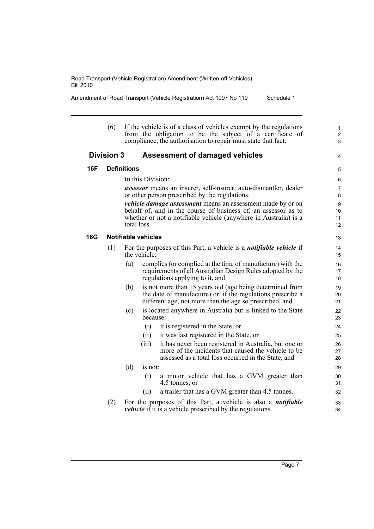Amendment of Road Transport (Vehicle Registration) Act 1997 No 119 Schedule 1

(6) If the vehicle is of a class of vehicles exempt by the regulations from the obligation to be the subject of a certificate of compliance, the authorisation to repair must state that fact.

### **Division 3 Assessment of damaged vehicles**

In this Division:

5

1 2 3

4

*assessor* means an insurer, self-insurer, auto-dismantler, dealer or other person prescribed by the regulations.

*vehicle damage assessment* means an assessment made by or on behalf of, and in the course of business of, an assessor as to whether or not a notifiable vehicle (anywhere in Australia) is a total loss.

#### **16G Notifiable vehicles**

**16F Definitions**

- (1) For the purposes of this Part, a vehicle is a *notifiable vehicle* if the vehicle:
	- (a) complies (or complied at the time of manufacture) with the requirements of all Australian Design Rules adopted by the regulations applying to it, and
	- (b) is not more than 15 years old (age being determined from the date of manufacture) or, if the regulations prescribe a different age, not more than the age so prescribed, and
	- (c) is located anywhere in Australia but is linked to the State because:
		- (i) it is registered in the State, or
		- (ii) it was last registered in the State, or
		- (iii) it has never been registered in Australia, but one or more of the incidents that caused the vehicle to be assessed as a total loss occurred in the State, and
	- (d) is not:
		- (i) a motor vehicle that has a GVM greater than 4.5 tonnes, or
		- (ii) a trailer that has a GVM greater than 4.5 tonnes.
- (2) For the purposes of this Part, a vehicle is also a *notifiable vehicle* if it is a vehicle prescribed by the regulations.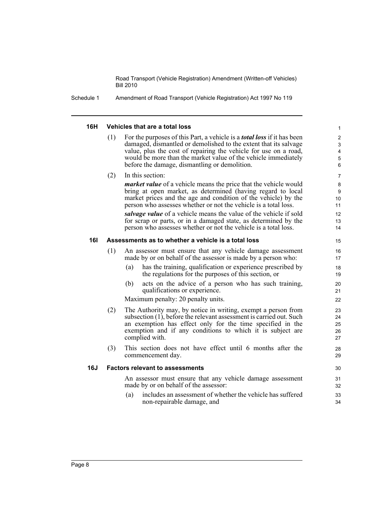Schedule 1 Amendment of Road Transport (Vehicle Registration) Act 1997 No 119

#### **16H Vehicles that are a total loss**

(1) For the purposes of this Part, a vehicle is a *total loss* if it has been damaged, dismantled or demolished to the extent that its salvage value, plus the cost of repairing the vehicle for use on a road, would be more than the market value of the vehicle immediately before the damage, dismantling or demolition.

### (2) In this section:

*market value* of a vehicle means the price that the vehicle would bring at open market, as determined (having regard to local market prices and the age and condition of the vehicle) by the person who assesses whether or not the vehicle is a total loss.

*salvage value* of a vehicle means the value of the vehicle if sold for scrap or parts, or in a damaged state, as determined by the person who assesses whether or not the vehicle is a total loss.

#### **16I Assessments as to whether a vehicle is a total loss**

- (1) An assessor must ensure that any vehicle damage assessment made by or on behalf of the assessor is made by a person who:
	- (a) has the training, qualification or experience prescribed by the regulations for the purposes of this section, or
	- (b) acts on the advice of a person who has such training, qualifications or experience.

Maximum penalty: 20 penalty units.

- (2) The Authority may, by notice in writing, exempt a person from subsection (1), before the relevant assessment is carried out. Such an exemption has effect only for the time specified in the exemption and if any conditions to which it is subject are complied with.
- (3) This section does not have effect until 6 months after the commencement day.

#### **16J Factors relevant to assessments**

An assessor must ensure that any vehicle damage assessment made by or on behalf of the assessor:

(a) includes an assessment of whether the vehicle has suffered non-repairable damage, and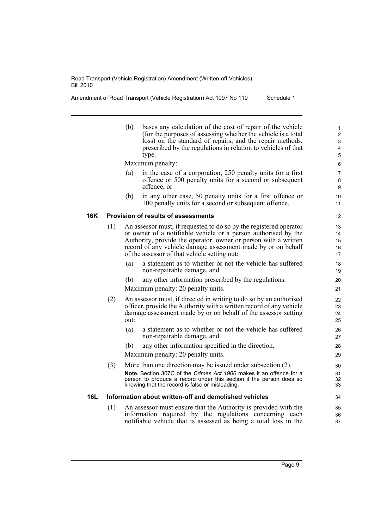Amendment of Road Transport (Vehicle Registration) Act 1997 No 119 Schedule 1

|     |     | (b)  | bases any calculation of the cost of repair of the vehicle<br>(for the purposes of assessing whether the vehicle is a total<br>loss) on the standard of repairs, and the repair methods,<br>prescribed by the regulations in relation to vehicles of that<br>type.                                                      | $\mathbf{1}$<br>$\overline{2}$<br>3<br>4<br>5 |
|-----|-----|------|-------------------------------------------------------------------------------------------------------------------------------------------------------------------------------------------------------------------------------------------------------------------------------------------------------------------------|-----------------------------------------------|
|     |     |      | Maximum penalty:                                                                                                                                                                                                                                                                                                        | 6                                             |
|     |     | (a)  | in the case of a corporation, 250 penalty units for a first<br>offence or 500 penalty units for a second or subsequent<br>offence, or                                                                                                                                                                                   | $\overline{7}$<br>8<br>9                      |
|     |     | (b)  | in any other case, 50 penalty units for a first offence or<br>100 penalty units for a second or subsequent offence.                                                                                                                                                                                                     | 10<br>11                                      |
| 16K |     |      | Provision of results of assessments                                                                                                                                                                                                                                                                                     | 12                                            |
|     | (1) |      | An assessor must, if requested to do so by the registered operator<br>or owner of a notifiable vehicle or a person authorised by the<br>Authority, provide the operator, owner or person with a written<br>record of any vehicle damage assessment made by or on behalf<br>of the assessor of that vehicle setting out: | 13<br>14<br>15<br>16<br>17                    |
|     |     | (a)  | a statement as to whether or not the vehicle has suffered<br>non-repairable damage, and                                                                                                                                                                                                                                 | 18<br>19                                      |
|     |     | (b)  | any other information prescribed by the regulations.                                                                                                                                                                                                                                                                    | 20                                            |
|     |     |      | Maximum penalty: 20 penalty units.                                                                                                                                                                                                                                                                                      | 21                                            |
|     | (2) | out: | An assessor must, if directed in writing to do so by an authorised<br>officer, provide the Authority with a written record of any vehicle<br>damage assessment made by or on behalf of the assessor setting                                                                                                             | 22<br>23<br>24<br>25                          |
|     |     | (a)  | a statement as to whether or not the vehicle has suffered<br>non-repairable damage, and                                                                                                                                                                                                                                 | 26<br>27                                      |
|     |     | (b)  | any other information specified in the direction.<br>Maximum penalty: 20 penalty units.                                                                                                                                                                                                                                 | 28<br>29                                      |
|     | (3) |      | More than one direction may be issued under subsection (2).<br>Note. Section 307C of the Crimes Act 1900 makes it an offence for a<br>person to produce a record under this section if the person does so<br>knowing that the record is false or misleading.                                                            | 30<br>31<br>32<br>33                          |
| 16L |     |      | Information about written-off and demolished vehicles                                                                                                                                                                                                                                                                   | 34                                            |
|     | (1) |      | An assessor must ensure that the Authority is provided with the<br>information required by the regulations concerning each<br>notifiable vehicle that is assessed as being a total loss in the                                                                                                                          | 35<br>36<br>37                                |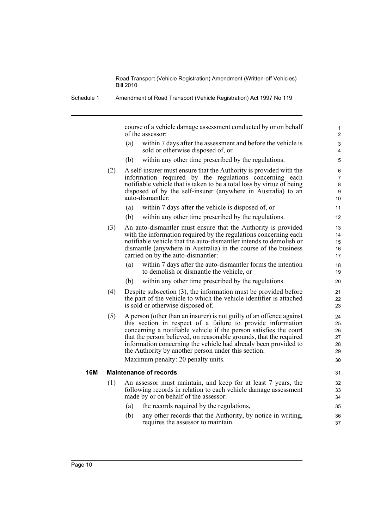Schedule 1 Amendment of Road Transport (Vehicle Registration) Act 1997 No 119

course of a vehicle damage assessment conducted by or on behalf of the assessor:

- (a) within 7 days after the assessment and before the vehicle is sold or otherwise disposed of, or
- (b) within any other time prescribed by the regulations.
- (2) A self-insurer must ensure that the Authority is provided with the information required by the regulations concerning each notifiable vehicle that is taken to be a total loss by virtue of being disposed of by the self-insurer (anywhere in Australia) to an auto-dismantler:
	- (a) within 7 days after the vehicle is disposed of, or
	- (b) within any other time prescribed by the regulations.
- (3) An auto-dismantler must ensure that the Authority is provided with the information required by the regulations concerning each notifiable vehicle that the auto-dismantler intends to demolish or dismantle (anywhere in Australia) in the course of the business carried on by the auto-dismantler:
	- (a) within 7 days after the auto-dismantler forms the intention to demolish or dismantle the vehicle, or
	- (b) within any other time prescribed by the regulations.
- (4) Despite subsection (3), the information must be provided before the part of the vehicle to which the vehicle identifier is attached is sold or otherwise disposed of.
- (5) A person (other than an insurer) is not guilty of an offence against this section in respect of a failure to provide information concerning a notifiable vehicle if the person satisfies the court that the person believed, on reasonable grounds, that the required information concerning the vehicle had already been provided to the Authority by another person under this section.

Maximum penalty: 20 penalty units.

#### **16M Maintenance of records**

- (1) An assessor must maintain, and keep for at least 7 years, the following records in relation to each vehicle damage assessment made by or on behalf of the assessor:
	- (a) the records required by the regulations,
	- (b) any other records that the Authority, by notice in writing, requires the assessor to maintain.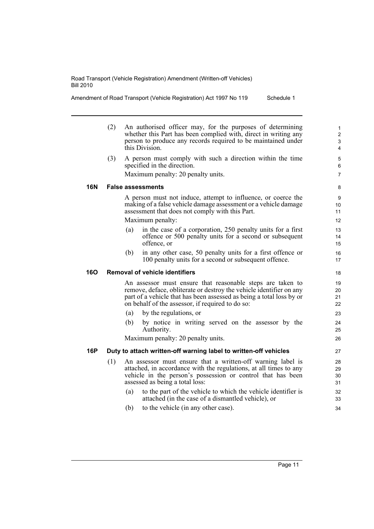Amendment of Road Transport (Vehicle Registration) Act 1997 No 119 Schedule 1

(2) An authorised officer may, for the purposes of determining whether this Part has been complied with, direct in writing any person to produce any records required to be maintained under this Division. (3) A person must comply with such a direction within the time specified in the direction.

Maximum penalty: 20 penalty units.

6 7

### **16N False assessments**

A person must not induce, attempt to influence, or coerce the making of a false vehicle damage assessment or a vehicle damage assessment that does not comply with this Part.

Maximum penalty:

- (a) in the case of a corporation, 250 penalty units for a first offence or 500 penalty units for a second or subsequent offence, or
- (b) in any other case, 50 penalty units for a first offence or 100 penalty units for a second or subsequent offence.

#### **16O Removal of vehicle identifiers**

An assessor must ensure that reasonable steps are taken to remove, deface, obliterate or destroy the vehicle identifier on any part of a vehicle that has been assessed as being a total loss by or on behalf of the assessor, if required to do so:

- (a) by the regulations, or
- (b) by notice in writing served on the assessor by the Authority.

Maximum penalty: 20 penalty units.

### **16P Duty to attach written-off warning label to written-off vehicles**

- (1) An assessor must ensure that a written-off warning label is attached, in accordance with the regulations, at all times to any vehicle in the person's possession or control that has been assessed as being a total loss:
	- (a) to the part of the vehicle to which the vehicle identifier is attached (in the case of a dismantled vehicle), or
	- (b) to the vehicle (in any other case).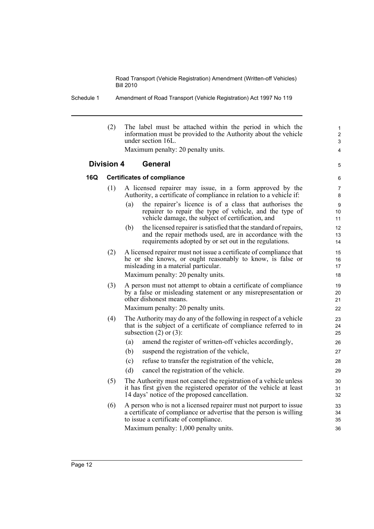| Schedule 1 | Amendment of Road Transport (Vehicle Registration) Act 1997 No 119 |
|------------|--------------------------------------------------------------------|
|            |                                                                    |

|     | (2)                                 |     | The label must be attached within the period in which the<br>information must be provided to the Authority about the vehicle<br>under section 16L.                                        | 1<br>$\overline{2}$<br>3 |  |
|-----|-------------------------------------|-----|-------------------------------------------------------------------------------------------------------------------------------------------------------------------------------------------|--------------------------|--|
|     |                                     |     | Maximum penalty: 20 penalty units.                                                                                                                                                        | 4                        |  |
|     | <b>General</b><br><b>Division 4</b> |     |                                                                                                                                                                                           |                          |  |
| 16Q |                                     |     | <b>Certificates of compliance</b>                                                                                                                                                         | 6                        |  |
|     | (1)                                 |     | A licensed repairer may issue, in a form approved by the<br>Authority, a certificate of compliance in relation to a vehicle if:                                                           | 7<br>8                   |  |
|     |                                     | (a) | the repairer's licence is of a class that authorises the<br>repairer to repair the type of vehicle, and the type of<br>vehicle damage, the subject of certification, and                  | 9<br>10<br>11            |  |
|     |                                     | (b) | the licensed repairer is satisfied that the standard of repairs,<br>and the repair methods used, are in accordance with the<br>requirements adopted by or set out in the regulations.     | 12<br>13<br>14           |  |
|     | (2)                                 |     | A licensed repairer must not issue a certificate of compliance that<br>he or she knows, or ought reasonably to know, is false or<br>misleading in a material particular.                  | 15<br>16<br>17           |  |
|     |                                     |     | Maximum penalty: 20 penalty units.                                                                                                                                                        | 18                       |  |
|     | (3)                                 |     | A person must not attempt to obtain a certificate of compliance<br>by a false or misleading statement or any misrepresentation or<br>other dishonest means.                               | 19<br>20<br>21           |  |
|     |                                     |     | Maximum penalty: 20 penalty units.                                                                                                                                                        | 22                       |  |
|     | (4)                                 |     | The Authority may do any of the following in respect of a vehicle<br>that is the subject of a certificate of compliance referred to in<br>subsection $(2)$ or $(3)$ :                     | 23<br>24<br>25           |  |
|     |                                     | (a) | amend the register of written-off vehicles accordingly,                                                                                                                                   | 26                       |  |
|     |                                     | (b) | suspend the registration of the vehicle,                                                                                                                                                  | 27                       |  |
|     |                                     | (c) | refuse to transfer the registration of the vehicle,                                                                                                                                       | 28                       |  |
|     |                                     | (d) | cancel the registration of the vehicle.                                                                                                                                                   | 29                       |  |
|     | (5)                                 |     | The Authority must not cancel the registration of a vehicle unless<br>it has first given the registered operator of the vehicle at least<br>14 days' notice of the proposed cancellation. | 30<br>31<br>32           |  |
|     | (6)                                 |     | A person who is not a licensed repairer must not purport to issue<br>a certificate of compliance or advertise that the person is willing<br>to issue a certificate of compliance.         | 33<br>34<br>35           |  |
|     |                                     |     | Maximum penalty: 1,000 penalty units.                                                                                                                                                     | 36                       |  |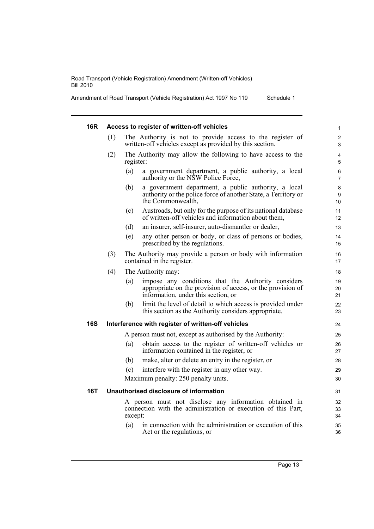Amendment of Road Transport (Vehicle Registration) Act 1997 No 119 Schedule 1

| 16R        |     | Access to register of written-off vehicles                                                                                                                      | $\mathbf{1}$        |
|------------|-----|-----------------------------------------------------------------------------------------------------------------------------------------------------------------|---------------------|
|            | (1) | The Authority is not to provide access to the register of<br>written-off vehicles except as provided by this section.                                           | $\overline{2}$<br>3 |
|            | (2) | The Authority may allow the following to have access to the<br>register:                                                                                        | $\overline{4}$<br>5 |
|            |     | (a)<br>a government department, a public authority, a local<br>authority or the NSW Police Force,                                                               | 6<br>$\overline{7}$ |
|            |     | (b)<br>a government department, a public authority, a local<br>authority or the police force of another State, a Territory or<br>the Commonwealth,              | 8<br>9<br>10        |
|            |     | Austroads, but only for the purpose of its national database<br>(c)<br>of written-off vehicles and information about them,                                      | 11<br>12            |
|            |     | (d)<br>an insurer, self-insurer, auto-dismantler or dealer,                                                                                                     | 13                  |
|            |     | (e)<br>any other person or body, or class of persons or bodies,<br>prescribed by the regulations.                                                               | 14<br>15            |
|            | (3) | The Authority may provide a person or body with information<br>contained in the register.                                                                       | 16<br>17            |
|            | (4) | The Authority may:                                                                                                                                              | 18                  |
|            |     | impose any conditions that the Authority considers<br>(a)<br>appropriate on the provision of access, or the provision of<br>information, under this section, or | 19<br>20<br>21      |
|            |     | limit the level of detail to which access is provided under<br>(b)<br>this section as the Authority considers appropriate.                                      | 22<br>23            |
| <b>16S</b> |     | Interference with register of written-off vehicles                                                                                                              | 24                  |
|            |     | A person must not, except as authorised by the Authority:                                                                                                       | 25                  |
|            |     | obtain access to the register of written-off vehicles or<br>(a)<br>information contained in the register, or                                                    | 26<br>27            |
|            |     | (b)<br>make, alter or delete an entry in the register, or                                                                                                       | 28                  |
|            |     | interfere with the register in any other way.<br>(c)                                                                                                            | 29                  |
|            |     | Maximum penalty: 250 penalty units.                                                                                                                             | 30                  |
| 16T        |     | Unauthorised disclosure of information                                                                                                                          | 31                  |
|            |     | A person must not disclose any information obtained in<br>connection with the administration or execution of this Part,<br>except:                              | 32<br>33<br>34      |
|            |     | in connection with the administration or execution of this<br>(a)<br>Act or the regulations, or                                                                 | 35<br>36            |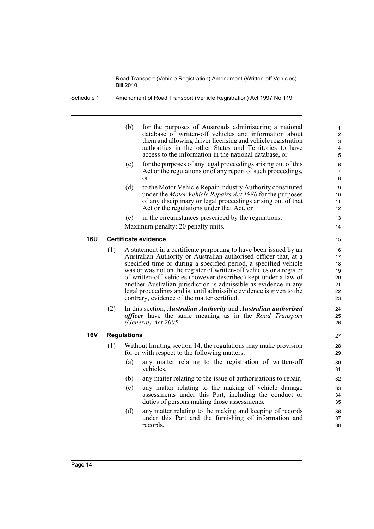Schedule 1 Amendment of Road Transport (Vehicle Registration) Act 1997 No 119

|     |     | (b)                | for the purposes of Austroads administering a national<br>database of written-off vehicles and information about<br>them and allowing driver licensing and vehicle registration<br>authorities in the other States and Territories to have<br>access to the information in the national database, or                                                                                                                                                                                                                                           | $\mathbf{1}$<br>$\boldsymbol{2}$<br>3<br>$\overline{4}$<br>5 |
|-----|-----|--------------------|------------------------------------------------------------------------------------------------------------------------------------------------------------------------------------------------------------------------------------------------------------------------------------------------------------------------------------------------------------------------------------------------------------------------------------------------------------------------------------------------------------------------------------------------|--------------------------------------------------------------|
|     |     | (c)                | for the purposes of any legal proceedings arising out of this<br>Act or the regulations or of any report of such proceedings,<br><sub>or</sub>                                                                                                                                                                                                                                                                                                                                                                                                 | $\,6\,$<br>$\overline{7}$<br>8                               |
|     |     | (d)                | to the Motor Vehicle Repair Industry Authority constituted<br>under the Motor Vehicle Repairs Act 1980 for the purposes<br>of any disciplinary or legal proceedings arising out of that<br>Act or the regulations under that Act, or                                                                                                                                                                                                                                                                                                           | 9<br>10<br>11<br>12                                          |
|     |     | (e)                | in the circumstances prescribed by the regulations.                                                                                                                                                                                                                                                                                                                                                                                                                                                                                            | 13                                                           |
|     |     |                    | Maximum penalty: 20 penalty units.                                                                                                                                                                                                                                                                                                                                                                                                                                                                                                             | 14                                                           |
| 16U |     |                    | Certificate evidence                                                                                                                                                                                                                                                                                                                                                                                                                                                                                                                           | 15                                                           |
|     | (1) |                    | A statement in a certificate purporting to have been issued by an<br>Australian Authority or Australian authorised officer that, at a<br>specified time or during a specified period, a specified vehicle<br>was or was not on the register of written-off vehicles or a register<br>of written-off vehicles (however described) kept under a law of<br>another Australian jurisdiction is admissible as evidence in any<br>legal proceedings and is, until admissible evidence is given to the<br>contrary, evidence of the matter certified. | 16<br>17<br>18<br>19<br>20<br>21<br>22<br>23                 |
|     | (2) |                    | In this section, Australian Authority and Australian authorised<br>officer have the same meaning as in the Road Transport<br>(General) Act 2005.                                                                                                                                                                                                                                                                                                                                                                                               | 24<br>25<br>26                                               |
| 16V |     | <b>Regulations</b> |                                                                                                                                                                                                                                                                                                                                                                                                                                                                                                                                                | 27                                                           |
|     | (1) |                    | Without limiting section 14, the regulations may make provision<br>for or with respect to the following matters:                                                                                                                                                                                                                                                                                                                                                                                                                               | 28<br>29                                                     |
|     |     | (a)                | any matter relating to the registration of written-off<br>vehicles,                                                                                                                                                                                                                                                                                                                                                                                                                                                                            | 30<br>31                                                     |
|     |     | (b)                | any matter relating to the issue of authorisations to repair,                                                                                                                                                                                                                                                                                                                                                                                                                                                                                  | 32                                                           |
|     |     | (c)                | any matter relating to the making of vehicle damage<br>assessments under this Part, including the conduct or<br>duties of persons making those assessments,                                                                                                                                                                                                                                                                                                                                                                                    | 33<br>34<br>35                                               |
|     |     | (d)                | any matter relating to the making and keeping of records<br>under this Part and the furnishing of information and<br>records,                                                                                                                                                                                                                                                                                                                                                                                                                  | 36<br>37<br>38                                               |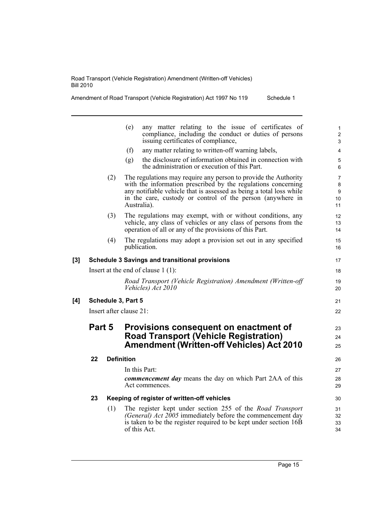Amendment of Road Transport (Vehicle Registration) Act 1997 No 119 Schedule 1

|          |        |     | any matter relating to the issue of certificates of<br>(e)<br>compliance, including the conduct or duties of persons<br>issuing certificates of compliance,                                                                                                                          | $\mathbf{1}$<br>$\overline{2}$<br>3  |
|----------|--------|-----|--------------------------------------------------------------------------------------------------------------------------------------------------------------------------------------------------------------------------------------------------------------------------------------|--------------------------------------|
|          |        |     | (f)<br>any matter relating to written-off warning labels,                                                                                                                                                                                                                            | $\overline{4}$                       |
|          |        |     | the disclosure of information obtained in connection with<br>(g)<br>the administration or execution of this Part.                                                                                                                                                                    | 5<br>6                               |
|          |        | (2) | The regulations may require any person to provide the Authority<br>with the information prescribed by the regulations concerning<br>any notifiable vehicle that is assessed as being a total loss while<br>in the care, custody or control of the person (anywhere in<br>Australia). | $\overline{7}$<br>8<br>9<br>10<br>11 |
|          |        | (3) | The regulations may exempt, with or without conditions, any<br>vehicle, any class of vehicles or any class of persons from the<br>operation of all or any of the provisions of this Part.                                                                                            | 12<br>13<br>14                       |
|          |        | (4) | The regulations may adopt a provision set out in any specified<br>publication.                                                                                                                                                                                                       | 15<br>16                             |
| $^{[3]}$ |        |     | <b>Schedule 3 Savings and transitional provisions</b>                                                                                                                                                                                                                                | 17                                   |
|          |        |     | Insert at the end of clause $1(1)$ :                                                                                                                                                                                                                                                 | 18                                   |
|          |        |     | Road Transport (Vehicle Registration) Amendment (Written-off<br>Vehicles) Act 2010                                                                                                                                                                                                   | 19<br>20                             |
| [4]      |        |     | Schedule 3, Part 5                                                                                                                                                                                                                                                                   | 21                                   |
|          |        |     | Insert after clause 21:                                                                                                                                                                                                                                                              | 22                                   |
|          | Part 5 |     | Provisions consequent on enactment of<br><b>Road Transport (Vehicle Registration)</b><br><b>Amendment (Written-off Vehicles) Act 2010</b>                                                                                                                                            | 23<br>24<br>25                       |
|          | 22     |     | <b>Definition</b>                                                                                                                                                                                                                                                                    | 26                                   |
|          |        |     | In this Part:                                                                                                                                                                                                                                                                        | 27                                   |
|          |        |     | commencement day means the day on which Part 2AA of this<br>Act commences.                                                                                                                                                                                                           | 28<br>29                             |
|          | 23     |     | Keeping of register of written-off vehicles                                                                                                                                                                                                                                          | 30                                   |
|          |        | (1) | The register kept under section 255 of the <i>Road Transport</i>                                                                                                                                                                                                                     | 31                                   |
|          |        |     | (General) Act 2005 immediately before the commencement day<br>is taken to be the register required to be kept under section 16B<br>of this Act.                                                                                                                                      | 32<br>33<br>34                       |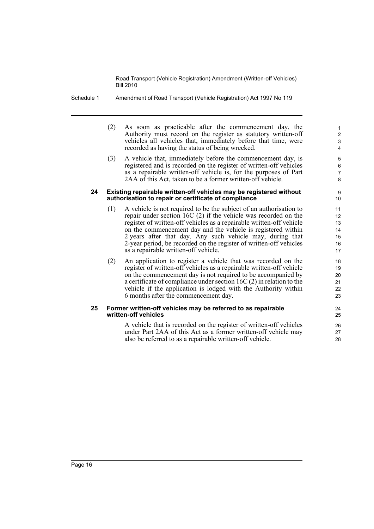- Schedule 1 Amendment of Road Transport (Vehicle Registration) Act 1997 No 119
	- (2) As soon as practicable after the commencement day, the Authority must record on the register as statutory written-off vehicles all vehicles that, immediately before that time, were recorded as having the status of being wrecked.

(3) A vehicle that, immediately before the commencement day, is registered and is recorded on the register of written-off vehicles as a repairable written-off vehicle is, for the purposes of Part 2AA of this Act, taken to be a former written-off vehicle.

#### **24 Existing repairable written-off vehicles may be registered without authorisation to repair or certificate of compliance**

- (1) A vehicle is not required to be the subject of an authorisation to repair under section 16C (2) if the vehicle was recorded on the register of written-off vehicles as a repairable written-off vehicle on the commencement day and the vehicle is registered within 2 years after that day. Any such vehicle may, during that 2-year period, be recorded on the register of written-off vehicles as a repairable written-off vehicle.
- (2) An application to register a vehicle that was recorded on the register of written-off vehicles as a repairable written-off vehicle on the commencement day is not required to be accompanied by a certificate of compliance under section 16C (2) in relation to the vehicle if the application is lodged with the Authority within 6 months after the commencement day.

#### **25 Former written-off vehicles may be referred to as repairable written-off vehicles**

A vehicle that is recorded on the register of written-off vehicles under Part 2AA of this Act as a former written-off vehicle may also be referred to as a repairable written-off vehicle.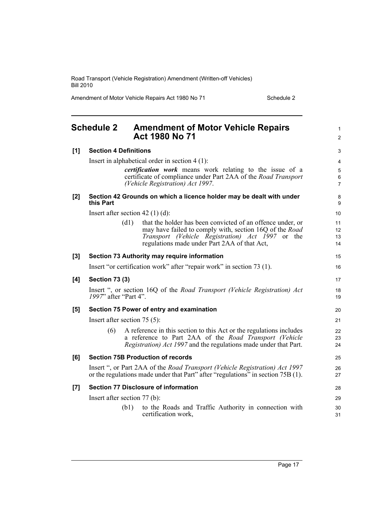Amendment of Motor Vehicle Repairs Act 1980 No 71 Schedule 2

<span id="page-24-0"></span>

| <b>Schedule 2</b> |                              | <b>Amendment of Motor Vehicle Repairs</b><br><b>Act 1980 No 71</b>                                                                                              | $\mathbf{1}$<br>2   |
|-------------------|------------------------------|-----------------------------------------------------------------------------------------------------------------------------------------------------------------|---------------------|
| [1]               | <b>Section 4 Definitions</b> |                                                                                                                                                                 | 3                   |
|                   |                              | Insert in alphabetical order in section $4(1)$ :                                                                                                                | 4                   |
|                   |                              | <i>certification work</i> means work relating to the issue of a                                                                                                 | 5                   |
|                   |                              | certificate of compliance under Part 2AA of the Road Transport<br>(Vehicle Registration) Act 1997.                                                              | 6<br>$\overline{7}$ |
| [2]               | this Part                    | Section 42 Grounds on which a licence holder may be dealt with under                                                                                            | 8<br>9              |
|                   |                              | Insert after section 42 (1) (d):                                                                                                                                | 10                  |
|                   |                              | (d1)<br>that the holder has been convicted of an offence under, or                                                                                              | 11                  |
|                   |                              | may have failed to comply with, section 16Q of the Road<br>Transport (Vehicle Registration) Act 1997 or the                                                     | 12<br>13            |
|                   |                              | regulations made under Part 2AA of that Act,                                                                                                                    | 14                  |
| $[3]$             |                              | Section 73 Authority may require information                                                                                                                    | 15                  |
|                   |                              | Insert "or certification work" after "repair work" in section 73 (1).                                                                                           | 16                  |
| [4]               | <b>Section 73 (3)</b>        |                                                                                                                                                                 | 17                  |
|                   | 1997" after "Part 4".        | Insert ", or section 16Q of the Road Transport (Vehicle Registration) Act                                                                                       | 18<br>19            |
| [5]               |                              | Section 75 Power of entry and examination                                                                                                                       | 20                  |
|                   |                              | Insert after section $75(5)$ :                                                                                                                                  | 21                  |
|                   | (6)                          | A reference in this section to this Act or the regulations includes                                                                                             | 22                  |
|                   |                              | a reference to Part 2AA of the Road Transport (Vehicle<br><i>Registration) Act 1997</i> and the regulations made under that Part.                               | 23<br>24            |
|                   |                              |                                                                                                                                                                 |                     |
| [6]               |                              | <b>Section 75B Production of records</b>                                                                                                                        | 25                  |
|                   |                              | Insert ", or Part 2AA of the Road Transport (Vehicle Registration) Act 1997<br>or the regulations made under that Part" after "regulations" in section 75B (1). | 26<br>27            |
| [7]               |                              | <b>Section 77 Disclosure of information</b>                                                                                                                     | 28                  |
|                   |                              | Insert after section 77 (b):                                                                                                                                    | 29                  |
|                   |                              | to the Roads and Traffic Authority in connection with<br>(b1)<br>certification work,                                                                            | 30<br>31            |